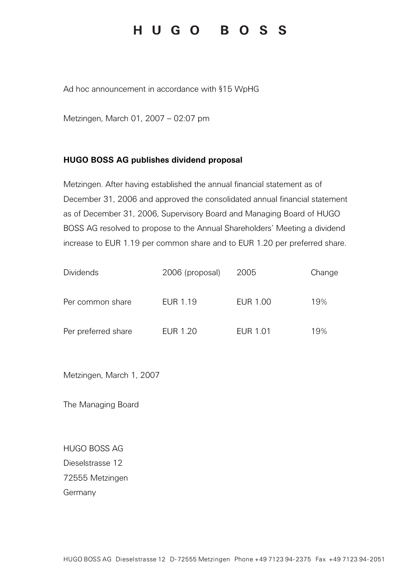# HUGO BOSS

Ad hoc announcement in accordance with §15 WpHG

Metzingen, March 01, 2007 – 02:07 pm

### HUGO BOSS AG publishes dividend proposal

Metzingen. After having established the annual financial statement as of December 31, 2006 and approved the consolidated annual financial statement as of December 31, 2006, Supervisory Board and Managing Board of HUGO BOSS AG resolved to propose to the Annual Shareholders' Meeting a dividend increase to EUR 1.19 per common share and to EUR 1.20 per preferred share.

| <b>Dividends</b>    | 2006 (proposal) | 2005            | Change |
|---------------------|-----------------|-----------------|--------|
| Per common share    | EUR 1.19        | EUR 1.00        | 19%    |
| Per preferred share | EUR 1.20        | <b>EUR 1.01</b> | 19%    |

Metzingen, March 1, 2007

The Managing Board

HUGO BOSS AG Dieselstrasse 12 72555 Metzingen Germany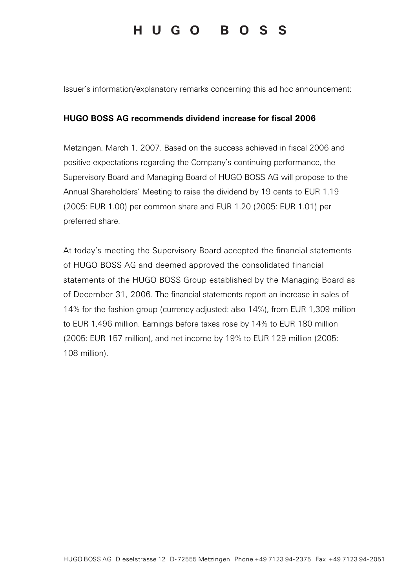## HUGO BOSS

Issuer's information/explanatory remarks concerning this ad hoc announcement:

#### HUGO BOSS AG recommends dividend increase for fiscal 2006

Metzingen, March 1, 2007. Based on the success achieved in fiscal 2006 and positive expectations regarding the Company's continuing performance, the Supervisory Board and Managing Board of HUGO BOSS AG will propose to the Annual Shareholders' Meeting to raise the dividend by 19 cents to EUR 1.19 (2005: EUR 1.00) per common share and EUR 1.20 (2005: EUR 1.01) per preferred share.

At today's meeting the Supervisory Board accepted the financial statements of HUGO BOSS AG and deemed approved the consolidated financial statements of the HUGO BOSS Group established by the Managing Board as of December 31, 2006. The financial statements report an increase in sales of 14% for the fashion group (currency adjusted: also 14%), from EUR 1,309 million to EUR 1,496 million. Earnings before taxes rose by 14% to EUR 180 million (2005: EUR 157 million), and net income by 19% to EUR 129 million (2005: 108 million).